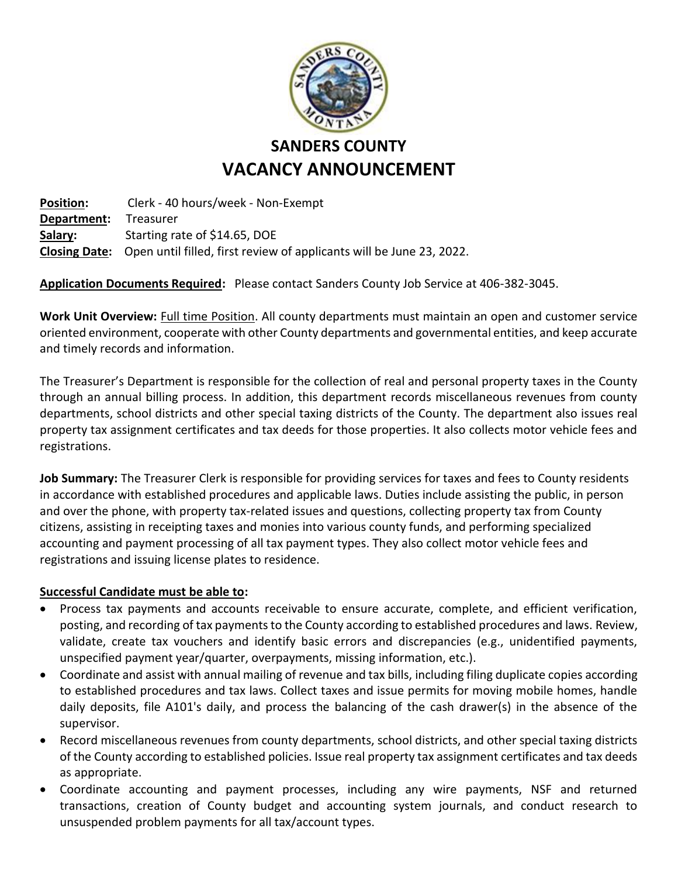

## **SANDERS COUNTY VACANCY ANNOUNCEMENT**

**Position:** Clerk - 40 hours/week - Non-Exempt **Department:** Treasurer **Salary:** Starting rate of \$14.65, DOE **Closing Date:** Open until filled, first review of applicants will be June 23, 2022.

**Application Documents Required:** Please contact Sanders County Job Service at 406-382-3045.

Work Unit Overview: Full time Position. All county departments must maintain an open and customer service oriented environment, cooperate with other County departments and governmental entities, and keep accurate and timely records and information.

The Treasurer's Department is responsible for the collection of real and personal property taxes in the County through an annual billing process. In addition, this department records miscellaneous revenues from county departments, school districts and other special taxing districts of the County. The department also issues real property tax assignment certificates and tax deeds for those properties. It also collects motor vehicle fees and registrations.

**Job Summary:** The Treasurer Clerk is responsible for providing services for taxes and fees to County residents in accordance with established procedures and applicable laws. Duties include assisting the public, in person and over the phone, with property tax-related issues and questions, collecting property tax from County citizens, assisting in receipting taxes and monies into various county funds, and performing specialized accounting and payment processing of all tax payment types. They also collect motor vehicle fees and registrations and issuing license plates to residence.

## **Successful Candidate must be able to:**

- Process tax payments and accounts receivable to ensure accurate, complete, and efficient verification, posting, and recording of tax payments to the County according to established procedures and laws. Review, validate, create tax vouchers and identify basic errors and discrepancies (e.g., unidentified payments, unspecified payment year/quarter, overpayments, missing information, etc.).
- Coordinate and assist with annual mailing of revenue and tax bills, including filing duplicate copies according to established procedures and tax laws. Collect taxes and issue permits for moving mobile homes, handle daily deposits, file A101's daily, and process the balancing of the cash drawer(s) in the absence of the supervisor.
- Record miscellaneous revenues from county departments, school districts, and other special taxing districts of the County according to established policies. Issue real property tax assignment certificates and tax deeds as appropriate.
- Coordinate accounting and payment processes, including any wire payments, NSF and returned transactions, creation of County budget and accounting system journals, and conduct research to unsuspended problem payments for all tax/account types.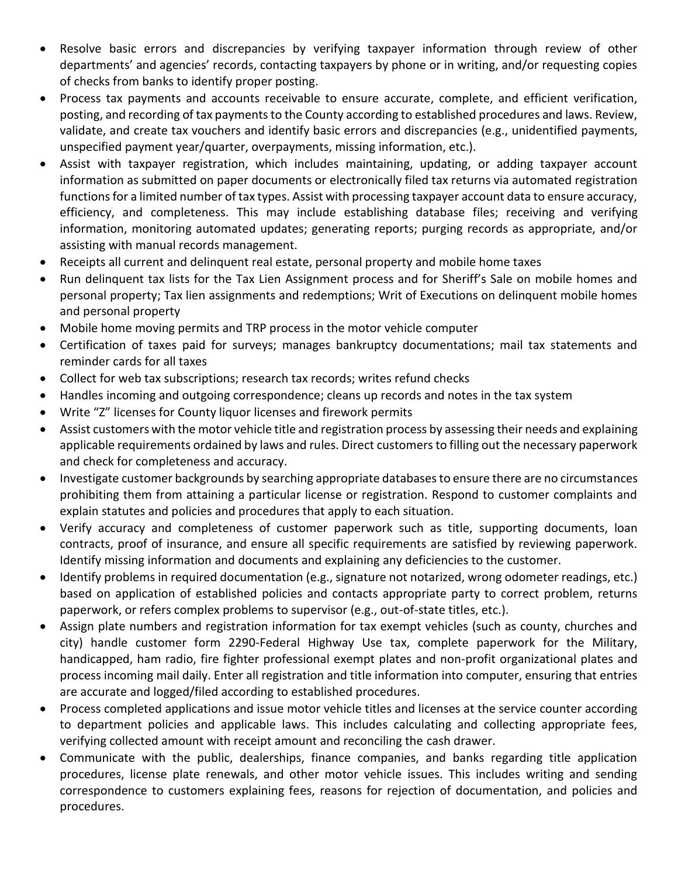- Resolve basic errors and discrepancies by verifying taxpayer information through review of other departments' and agencies' records, contacting taxpayers by phone or in writing, and/or requesting copies of checks from banks to identify proper posting.
- Process tax payments and accounts receivable to ensure accurate, complete, and efficient verification, posting, and recording of tax payments to the County according to established procedures and laws. Review, validate, and create tax vouchers and identify basic errors and discrepancies (e.g., unidentified payments, unspecified payment year/quarter, overpayments, missing information, etc.).
- Assist with taxpayer registration, which includes maintaining, updating, or adding taxpayer account information as submitted on paper documents or electronically filed tax returns via automated registration functions for a limited number of tax types. Assist with processing taxpayer account data to ensure accuracy, efficiency, and completeness. This may include establishing database files; receiving and verifying information, monitoring automated updates; generating reports; purging records as appropriate, and/or assisting with manual records management.
- Receipts all current and delinquent real estate, personal property and mobile home taxes
- Run delinquent tax lists for the Tax Lien Assignment process and for Sheriff's Sale on mobile homes and personal property; Tax lien assignments and redemptions; Writ of Executions on delinquent mobile homes and personal property
- Mobile home moving permits and TRP process in the motor vehicle computer
- Certification of taxes paid for surveys; manages bankruptcy documentations; mail tax statements and reminder cards for all taxes
- Collect for web tax subscriptions; research tax records; writes refund checks
- Handles incoming and outgoing correspondence; cleans up records and notes in the tax system
- Write "Z" licenses for County liquor licenses and firework permits
- Assist customers with the motor vehicle title and registration process by assessing their needs and explaining applicable requirements ordained by laws and rules. Direct customers to filling out the necessary paperwork and check for completeness and accuracy.
- Investigate customer backgrounds by searching appropriate databases to ensure there are no circumstances prohibiting them from attaining a particular license or registration. Respond to customer complaints and explain statutes and policies and procedures that apply to each situation.
- Verify accuracy and completeness of customer paperwork such as title, supporting documents, loan contracts, proof of insurance, and ensure all specific requirements are satisfied by reviewing paperwork. Identify missing information and documents and explaining any deficiencies to the customer.
- Identify problems in required documentation (e.g., signature not notarized, wrong odometer readings, etc.) based on application of established policies and contacts appropriate party to correct problem, returns paperwork, or refers complex problems to supervisor (e.g., out-of-state titles, etc.).
- Assign plate numbers and registration information for tax exempt vehicles (such as county, churches and city) handle customer form 2290-Federal Highway Use tax, complete paperwork for the Military, handicapped, ham radio, fire fighter professional exempt plates and non-profit organizational plates and process incoming mail daily. Enter all registration and title information into computer, ensuring that entries are accurate and logged/filed according to established procedures.
- Process completed applications and issue motor vehicle titles and licenses at the service counter according to department policies and applicable laws. This includes calculating and collecting appropriate fees, verifying collected amount with receipt amount and reconciling the cash drawer.
- Communicate with the public, dealerships, finance companies, and banks regarding title application procedures, license plate renewals, and other motor vehicle issues. This includes writing and sending correspondence to customers explaining fees, reasons for rejection of documentation, and policies and procedures.